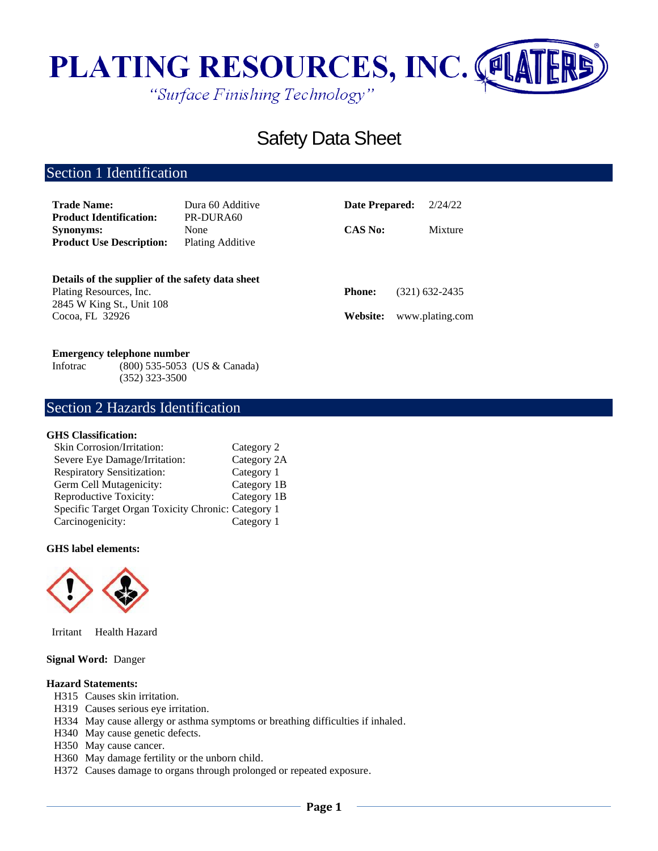

# Safety Data Sheet

# Section 1 Identification

| <b>Trade Name:</b><br><b>Product Identification:</b>                                                     | Dura 60 Additive<br>PR-DURA60 | Date Prepared: | 2/24/22         |
|----------------------------------------------------------------------------------------------------------|-------------------------------|----------------|-----------------|
| <b>Synonyms:</b><br><b>Product Use Description:</b>                                                      | None<br>Plating Additive      | <b>CAS No:</b> | Mixture         |
| Details of the supplier of the safety data sheet<br>Plating Resources, Inc.<br>2845 W King St., Unit 108 |                               | <b>Phone:</b>  | (321) 632-2435  |
| Cocoa, FL 32926                                                                                          |                               | Website:       | www.plating.com |

### **Emergency telephone number**

Infotrac (800) 535-5053 (US & Canada) (352) 323-3500

# Section 2 Hazards Identification

### **GHS Classification:**

| Skin Corrosion/Irritation:                         | Category 2  |
|----------------------------------------------------|-------------|
| Severe Eye Damage/Irritation:                      | Category 2A |
| <b>Respiratory Sensitization:</b>                  | Category 1  |
| Germ Cell Mutagenicity:                            | Category 1B |
| Reproductive Toxicity:                             | Category 1B |
| Specific Target Organ Toxicity Chronic: Category 1 |             |
| Carcinogenicity:                                   | Category 1  |

### **GHS label elements:**



Irritant Health Hazard

### **Signal Word:** Danger

### **Hazard Statements:**

- H315 Causes skin irritation.
- H319 Causes serious eye irritation.
- H334 May cause allergy or asthma symptoms or breathing difficulties if inhaled.
- H340 May cause genetic defects.
- H350 May cause cancer.
- H360 May damage fertility or the unborn child.
- H372 Causes damage to organs through prolonged or repeated exposure.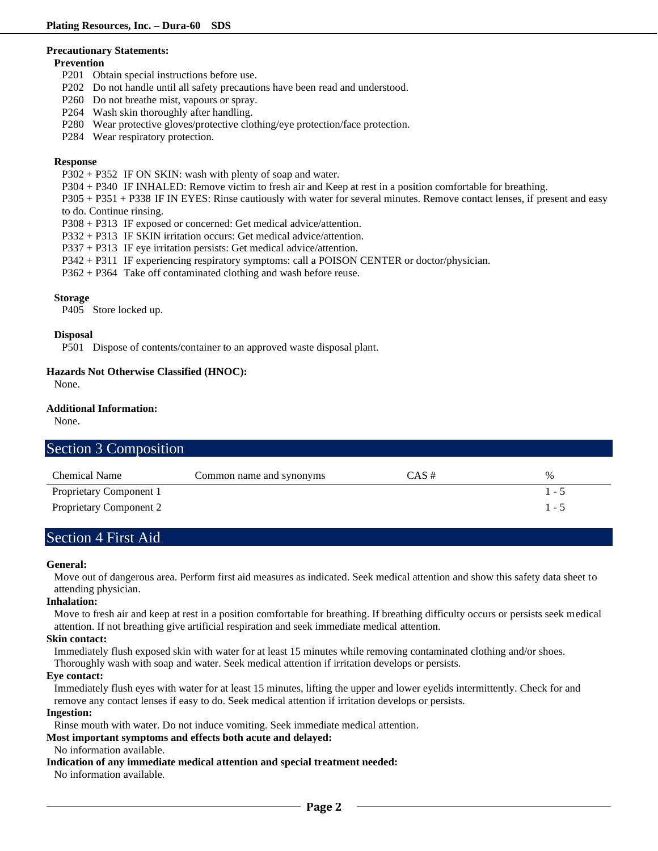#### **Precautionary Statements:**

#### **Prevention**

- P201 Obtain special instructions before use.
- P202 Do not handle until all safety precautions have been read and understood.
- P260 Do not breathe mist, vapours or spray.
- P264 Wash skin thoroughly after handling.
- P280 Wear protective gloves/protective clothing/eye protection/face protection.
- P284 Wear respiratory protection.

### **Response**

- P302 + P352 IF ON SKIN: wash with plenty of soap and water.
- P304 + P340 IF INHALED: Remove victim to fresh air and Keep at rest in a position comfortable for breathing.

P305 + P351 + P338 IF IN EYES: Rinse cautiously with water for several minutes. Remove contact lenses, if present and easy to do. Continue rinsing.

- P308 + P313 IF exposed or concerned: Get medical advice/attention.
- P332 + P313 IF SKIN irritation occurs: Get medical advice/attention.
- P337 + P313 IF eye irritation persists: Get medical advice/attention.
- P342 + P311 IF experiencing respiratory symptoms: call a POISON CENTER or doctor/physician.
- P362 + P364 Take off contaminated clothing and wash before reuse.

### **Storage**

P405 Store locked up.

### **Disposal**

P501 Dispose of contents/container to an approved waste disposal plant.

### **Hazards Not Otherwise Classified (HNOC):**

None.

### **Additional Information:**

None.

# Section 3 Composition

| Chemical Name           | Common name and synonyms | CAS # | $\%$    |
|-------------------------|--------------------------|-------|---------|
| Proprietary Component 1 |                          |       | .       |
| Proprietary Component 2 |                          |       | $1 - 5$ |

### Section 4 First Aid

### **General:**

Move out of dangerous area. Perform first aid measures as indicated. Seek medical attention and show this safety data sheet to attending physician.

### **Inhalation:**

Move to fresh air and keep at rest in a position comfortable for breathing. If breathing difficulty occurs or persists seek medical attention. If not breathing give artificial respiration and seek immediate medical attention.

### **Skin contact:**

Immediately flush exposed skin with water for at least 15 minutes while removing contaminated clothing and/or shoes.

Thoroughly wash with soap and water. Seek medical attention if irritation develops or persists.

### **Eye contact:**

Immediately flush eyes with water for at least 15 minutes, lifting the upper and lower eyelids intermittently. Check for and remove any contact lenses if easy to do. Seek medical attention if irritation develops or persists.

### **Ingestion:**

Rinse mouth with water. Do not induce vomiting. Seek immediate medical attention.

### **Most important symptoms and effects both acute and delayed:**

No information available.

**Indication of any immediate medical attention and special treatment needed:**

No information available.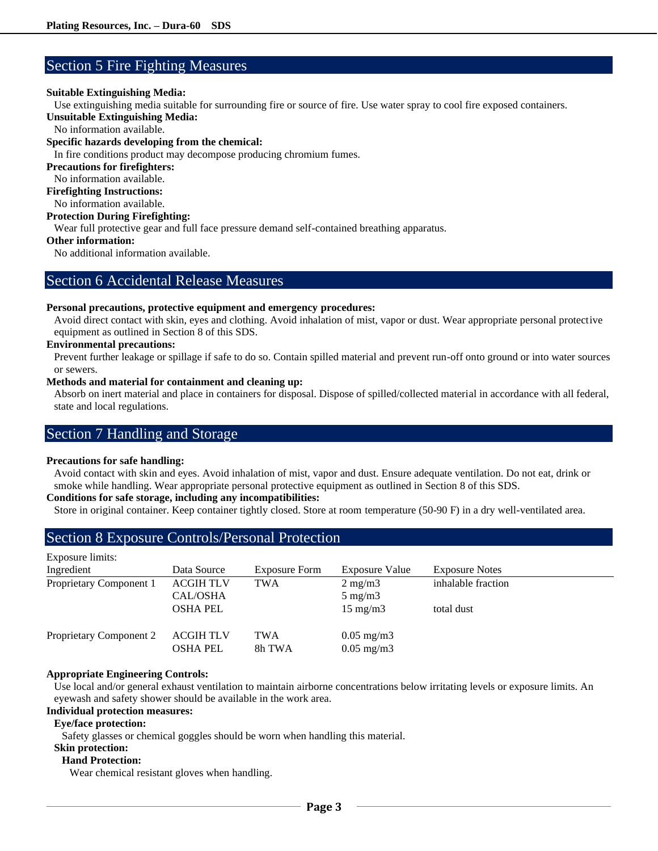### Section 5 Fire Fighting Measures

### **Suitable Extinguishing Media:**

Use extinguishing media suitable for surrounding fire or source of fire. Use water spray to cool fire exposed containers.

**Unsuitable Extinguishing Media:**

No information available.

### **Specific hazards developing from the chemical:**

In fire conditions product may decompose producing chromium fumes.

### **Precautions for firefighters:**

No information available.

**Firefighting Instructions:**

No information available.

### **Protection During Firefighting:**

Wear full protective gear and full face pressure demand self-contained breathing apparatus.

### **Other information:**

No additional information available.

### Section 6 Accidental Release Measures

### **Personal precautions, protective equipment and emergency procedures:**

Avoid direct contact with skin, eyes and clothing. Avoid inhalation of mist, vapor or dust. Wear appropriate personal protective equipment as outlined in Section 8 of this SDS.

### **Environmental precautions:**

Prevent further leakage or spillage if safe to do so. Contain spilled material and prevent run-off onto ground or into water sources or sewers.

### **Methods and material for containment and cleaning up:**

Absorb on inert material and place in containers for disposal. Dispose of spilled/collected material in accordance with all federal, state and local regulations.

### Section 7 Handling and Storage

### **Precautions for safe handling:**

Avoid contact with skin and eyes. Avoid inhalation of mist, vapor and dust. Ensure adequate ventilation. Do not eat, drink or smoke while handling. Wear appropriate personal protective equipment as outlined in Section 8 of this SDS.

### **Conditions for safe storage, including any incompatibilities:**

Store in original container. Keep container tightly closed. Store at room temperature (50-90 F) in a dry well-ventilated area.

### Section 8 Exposure Controls/Personal Protection

| Exposure limits:        |                                     |                      |                                                |                       |
|-------------------------|-------------------------------------|----------------------|------------------------------------------------|-----------------------|
| Ingredient              | Data Source                         | <b>Exposure Form</b> | <b>Exposure Value</b>                          | <b>Exposure Notes</b> |
| Proprietary Component 1 | <b>ACGIH TLV</b><br>CAL/OSHA        | <b>TWA</b>           | $2 \text{ mg/m}$<br>$5 \text{ mg/m}$           | inhalable fraction    |
|                         | <b>OSHA PEL</b>                     |                      | $15 \text{ mg/m}$                              | total dust            |
| Proprietary Component 2 | <b>ACGIH TLV</b><br><b>OSHA PEL</b> | <b>TWA</b><br>8h TWA | $0.05 \text{ mg/m}$ 3<br>$0.05 \text{ mg/m}$ 3 |                       |

### **Appropriate Engineering Controls:**

Use local and/or general exhaust ventilation to maintain airborne concentrations below irritating levels or exposure limits. An eyewash and safety shower should be available in the work area.

### **Individual protection measures:**

### **Eye/face protection:**

Safety glasses or chemical goggles should be worn when handling this material.

#### **Skin protection: Hand Protection:**

Wear chemical resistant gloves when handling.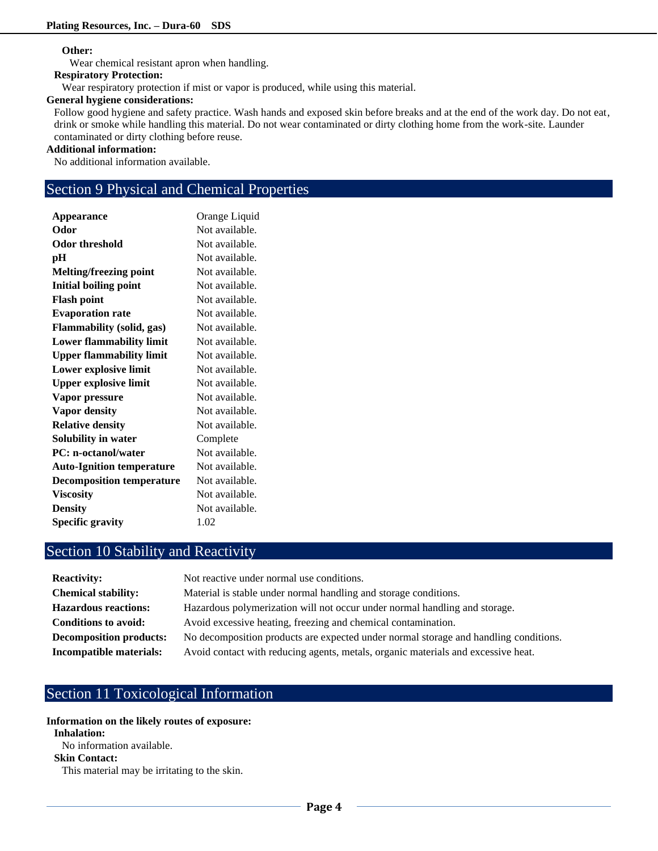### **Other:**

Wear chemical resistant apron when handling.

#### **Respiratory Protection:**

Wear respiratory protection if mist or vapor is produced, while using this material.

### **General hygiene considerations:**

Follow good hygiene and safety practice. Wash hands and exposed skin before breaks and at the end of the work day. Do not eat, drink or smoke while handling this material. Do not wear contaminated or dirty clothing home from the work-site. Launder contaminated or dirty clothing before reuse.

### **Additional information:**

No additional information available.

# Section 9 Physical and Chemical Properties

| <b>Appearance</b>                | Orange Liquid  |
|----------------------------------|----------------|
| Odor                             | Not available. |
| <b>Odor threshold</b>            | Not available. |
| рH                               | Not available. |
| <b>Melting/freezing point</b>    | Not available. |
| <b>Initial boiling point</b>     | Not available. |
| <b>Flash point</b>               | Not available. |
| <b>Evaporation rate</b>          | Not available. |
| <b>Flammability (solid, gas)</b> | Not available. |
| <b>Lower flammability limit</b>  | Not available. |
| <b>Upper flammability limit</b>  | Not available. |
| Lower explosive limit            | Not available. |
| <b>Upper explosive limit</b>     | Not available. |
| Vapor pressure                   | Not available. |
| Vapor density                    | Not available. |
| <b>Relative density</b>          | Not available. |
| Solubility in water              | Complete       |
| <b>PC: n-octanol/water</b>       | Not available. |
| <b>Auto-Ignition temperature</b> | Not available. |
| <b>Decomposition temperature</b> | Not available. |
| <b>Viscosity</b>                 | Not available. |
| <b>Density</b>                   | Not available. |
| <b>Specific gravity</b>          | 1.02           |
|                                  |                |

# Section 10 Stability and Reactivity

| <b>Reactivity:</b>             | Not reactive under normal use conditions.                                            |
|--------------------------------|--------------------------------------------------------------------------------------|
| <b>Chemical stability:</b>     | Material is stable under normal handling and storage conditions.                     |
| <b>Hazardous reactions:</b>    | Hazardous polymerization will not occur under normal handling and storage.           |
| <b>Conditions to avoid:</b>    | Avoid excessive heating, freezing and chemical contamination.                        |
| <b>Decomposition products:</b> | No decomposition products are expected under normal storage and handling conditions. |
| Incompatible materials:        | Avoid contact with reducing agents, metals, organic materials and excessive heat.    |

# Section 11 Toxicological Information

**Information on the likely routes of exposure: Inhalation:** No information available. **Skin Contact:** This material may be irritating to the skin.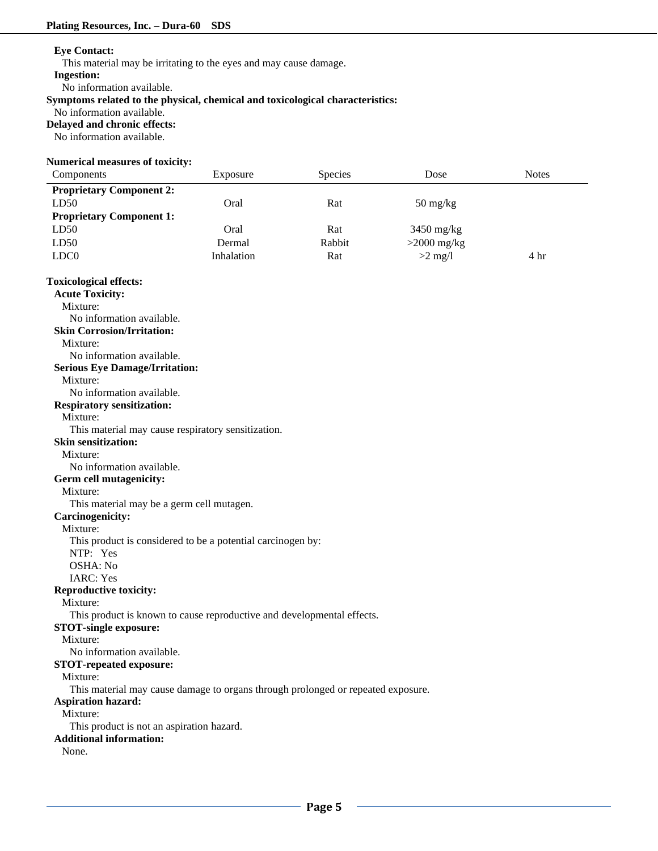### **Eye Contact:**

This material may be irritating to the eyes and may cause damage.

**Ingestion:**

No information available.

### **Symptoms related to the physical, chemical and toxicological characteristics:**

No information available.

**Delayed and chronic effects:**

No information available.

### **Numerical measures of toxicity:**

| Components                                | Exposure                                                                         | Species | Dose                             | <b>Notes</b> |
|-------------------------------------------|----------------------------------------------------------------------------------|---------|----------------------------------|--------------|
| <b>Proprietary Component 2:</b>           |                                                                                  |         |                                  |              |
| LD50                                      | Oral                                                                             | Rat     | $50 \frac{\text{mg}}{\text{kg}}$ |              |
| <b>Proprietary Component 1:</b>           |                                                                                  |         |                                  |              |
| LD50                                      | Oral                                                                             | Rat     | 3450 mg/kg                       |              |
| LD50                                      | Dermal                                                                           | Rabbit  | $>2000$ mg/kg                    |              |
| LDC <sub>0</sub>                          | Inhalation                                                                       | Rat     | $>2$ mg/l                        | 4 hr         |
|                                           |                                                                                  |         |                                  |              |
| <b>Toxicological effects:</b>             |                                                                                  |         |                                  |              |
| <b>Acute Toxicity:</b>                    |                                                                                  |         |                                  |              |
| Mixture:                                  |                                                                                  |         |                                  |              |
| No information available.                 |                                                                                  |         |                                  |              |
| <b>Skin Corrosion/Irritation:</b>         |                                                                                  |         |                                  |              |
| Mixture:                                  |                                                                                  |         |                                  |              |
| No information available.                 |                                                                                  |         |                                  |              |
| <b>Serious Eye Damage/Irritation:</b>     |                                                                                  |         |                                  |              |
| Mixture:                                  |                                                                                  |         |                                  |              |
| No information available.                 |                                                                                  |         |                                  |              |
| <b>Respiratory sensitization:</b>         |                                                                                  |         |                                  |              |
| Mixture:                                  |                                                                                  |         |                                  |              |
|                                           | This material may cause respiratory sensitization.                               |         |                                  |              |
| <b>Skin sensitization:</b>                |                                                                                  |         |                                  |              |
| Mixture:                                  |                                                                                  |         |                                  |              |
| No information available.                 |                                                                                  |         |                                  |              |
| Germ cell mutagenicity:                   |                                                                                  |         |                                  |              |
| Mixture:                                  |                                                                                  |         |                                  |              |
| This material may be a germ cell mutagen. |                                                                                  |         |                                  |              |
| <b>Carcinogenicity:</b>                   |                                                                                  |         |                                  |              |
| Mixture:                                  |                                                                                  |         |                                  |              |
|                                           | This product is considered to be a potential carcinogen by:                      |         |                                  |              |
| NTP: Yes                                  |                                                                                  |         |                                  |              |
| OSHA: No                                  |                                                                                  |         |                                  |              |
| <b>IARC: Yes</b>                          |                                                                                  |         |                                  |              |
| <b>Reproductive toxicity:</b>             |                                                                                  |         |                                  |              |
| Mixture:                                  |                                                                                  |         |                                  |              |
|                                           | This product is known to cause reproductive and developmental effects.           |         |                                  |              |
| <b>STOT-single exposure:</b>              |                                                                                  |         |                                  |              |
| Mixture:                                  |                                                                                  |         |                                  |              |
| No information available.                 |                                                                                  |         |                                  |              |
| <b>STOT-repeated exposure:</b>            |                                                                                  |         |                                  |              |
| Mixture:                                  |                                                                                  |         |                                  |              |
|                                           | This material may cause damage to organs through prolonged or repeated exposure. |         |                                  |              |
| <b>Aspiration hazard:</b>                 |                                                                                  |         |                                  |              |
| Mixture:                                  |                                                                                  |         |                                  |              |
| This product is not an aspiration hazard. |                                                                                  |         |                                  |              |
| <b>Additional information:</b>            |                                                                                  |         |                                  |              |
| None.                                     |                                                                                  |         |                                  |              |
|                                           |                                                                                  |         |                                  |              |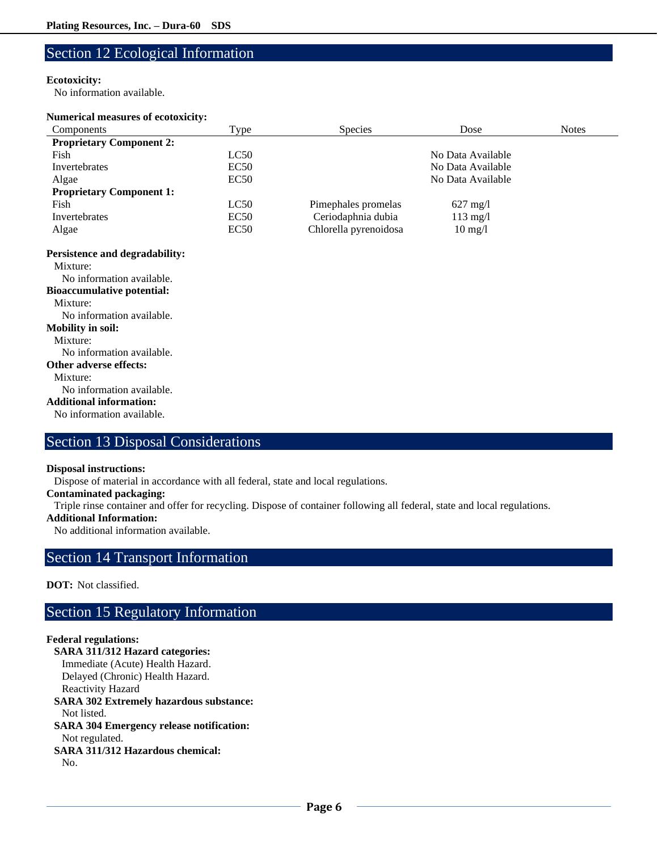# Section 12 Ecological Information

### **Ecotoxicity:**

No information available.

### **Numerical measures of ecotoxicity:**

| Components                        | <b>Type</b> | <b>Species</b>        | Dose               | <b>Notes</b> |
|-----------------------------------|-------------|-----------------------|--------------------|--------------|
| <b>Proprietary Component 2:</b>   |             |                       |                    |              |
| Fish                              | LC50        |                       | No Data Available  |              |
| Invertebrates                     | EC50        |                       | No Data Available  |              |
| Algae                             | EC50        |                       | No Data Available  |              |
| <b>Proprietary Component 1:</b>   |             |                       |                    |              |
| Fish                              | LC50        | Pimephales promelas   | $627 \text{ mg}/1$ |              |
| Invertebrates                     | EC50        | Ceriodaphnia dubia    | $113$ mg/l         |              |
| Algae                             | EC50        | Chlorella pyrenoidosa | $10 \text{ mg/l}$  |              |
| Persistence and degradability:    |             |                       |                    |              |
| Mixture:                          |             |                       |                    |              |
| No information available.         |             |                       |                    |              |
| <b>Bioaccumulative potential:</b> |             |                       |                    |              |
| Mixture:                          |             |                       |                    |              |
| No information available.         |             |                       |                    |              |
| <b>Mobility in soil:</b>          |             |                       |                    |              |
| Mixture:                          |             |                       |                    |              |
| No information available.         |             |                       |                    |              |
| <b>Other adverse effects:</b>     |             |                       |                    |              |
| Mixture:                          |             |                       |                    |              |
| No information available.         |             |                       |                    |              |
| <b>Additional information:</b>    |             |                       |                    |              |
| No information available.         |             |                       |                    |              |
|                                   |             |                       |                    |              |

# Section 13 Disposal Considerations

### **Disposal instructions:**

Dispose of material in accordance with all federal, state and local regulations.

### **Contaminated packaging:**

Triple rinse container and offer for recycling. Dispose of container following all federal, state and local regulations.

### **Additional Information:**

No additional information available.

### Section 14 Transport Information

### **DOT:** Not classified.

# Section 15 Regulatory Information

### **Federal regulations:**

**SARA 311/312 Hazard categories:**  Immediate (Acute) Health Hazard. Delayed (Chronic) Health Hazard. Reactivity Hazard **SARA 302 Extremely hazardous substance:** Not listed. **SARA 304 Emergency release notification:** Not regulated. **SARA 311/312 Hazardous chemical:** No.